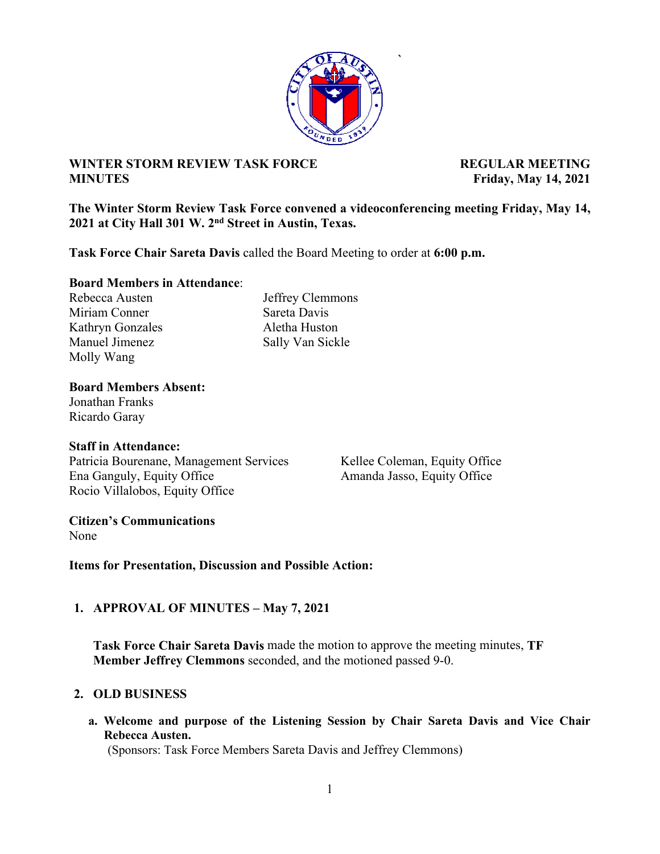

**`** 

## **WINTER STORM REVIEW TASK FORCE ALL PROPERTY REGULAR MEETING MINUTES Friday, May 14, 2021**

**The Winter Storm Review Task Force convened a videoconferencing meeting Friday, May 14, 2021 at City Hall 301 W. 2nd Street in Austin, Texas.** 

**Task Force Chair Sareta Davis** called the Board Meeting to order at **6:00 p.m.** 

### **Board Members in Attendance**:

Miriam Conner Sareta Davis Kathryn Gonzales Aletha Huston Manuel Jimenez Sally Van Sickle Molly Wang

Rebecca Austen Jeffrey Clemmons

### **Board Members Absent:**

Jonathan Franks Ricardo Garay

### **Staff in Attendance:**

Patricia Bourenane, Management Services Kellee Coleman, Equity Office Ena Ganguly, Equity Office Amanda Jasso, Equity Office Rocio Villalobos, Equity Office

# **Citizen's Communications**

None

**Items for Presentation, Discussion and Possible Action:** 

## **1. APPROVAL OF MINUTES – May 7, 2021**

**Task Force Chair Sareta Davis** made the motion to approve the meeting minutes, **TF Member Jeffrey Clemmons** seconded, and the motioned passed 9-0.

## **2. OLD BUSINESS**

**a. Welcome and purpose of the Listening Session by Chair Sareta Davis and Vice Chair Rebecca Austen.** 

(Sponsors: Task Force Members Sareta Davis and Jeffrey Clemmons)